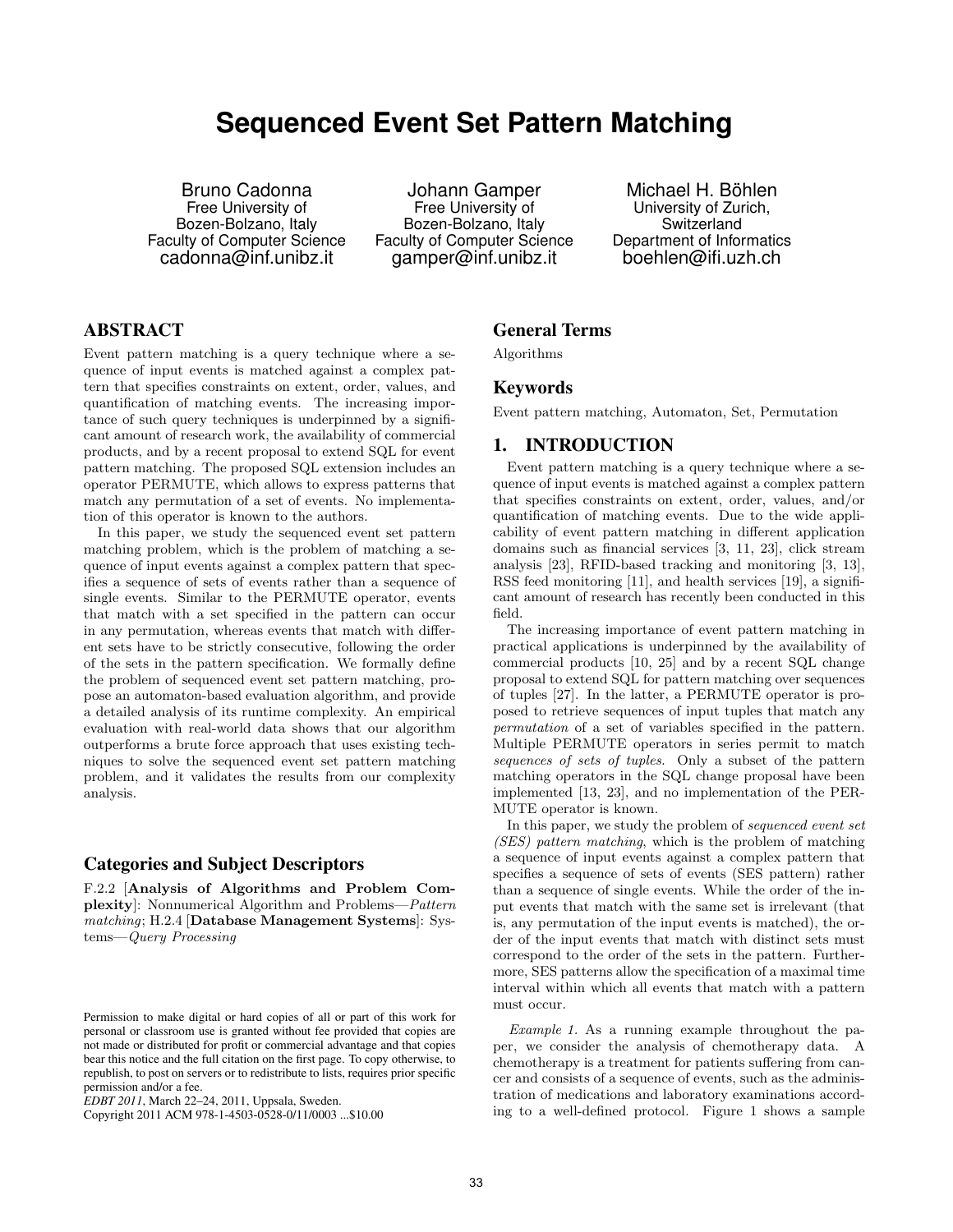# **Sequenced Event Set Pattern Matching**

Bruno Cadonna Free University of Bozen-Bolzano, Italy Faculty of Computer Science cadonna@inf.unibz.it

Johann Gamper Free University of Bozen-Bolzano, Italy Faculty of Computer Science gamper@inf.unibz.it

Michael H. Böhlen University of Zurich, Switzerland Department of Informatics boehlen@ifi.uzh.ch

# ABSTRACT

Event pattern matching is a query technique where a sequence of input events is matched against a complex pattern that specifies constraints on extent, order, values, and quantification of matching events. The increasing importance of such query techniques is underpinned by a significant amount of research work, the availability of commercial products, and by a recent proposal to extend SQL for event pattern matching. The proposed SQL extension includes an operator PERMUTE, which allows to express patterns that match any permutation of a set of events. No implementation of this operator is known to the authors.

In this paper, we study the sequenced event set pattern matching problem, which is the problem of matching a sequence of input events against a complex pattern that specifies a sequence of sets of events rather than a sequence of single events. Similar to the PERMUTE operator, events that match with a set specified in the pattern can occur in any permutation, whereas events that match with different sets have to be strictly consecutive, following the order of the sets in the pattern specification. We formally define the problem of sequenced event set pattern matching, propose an automaton-based evaluation algorithm, and provide a detailed analysis of its runtime complexity. An empirical evaluation with real-world data shows that our algorithm outperforms a brute force approach that uses existing techniques to solve the sequenced event set pattern matching problem, and it validates the results from our complexity analysis.

# Categories and Subject Descriptors

F.2.2 [Analysis of Algorithms and Problem Complexity]: Nonnumerical Algorithm and Problems—Pattern matching; H.2.4 [Database Management Systems]: Systems—Query Processing

### General Terms

Algorithms

#### Keywords

Event pattern matching, Automaton, Set, Permutation

# 1. INTRODUCTION

Event pattern matching is a query technique where a sequence of input events is matched against a complex pattern that specifies constraints on extent, order, values, and/or quantification of matching events. Due to the wide applicability of event pattern matching in different application domains such as financial services [3, 11, 23], click stream analysis [23], RFID-based tracking and monitoring [3, 13], RSS feed monitoring [11], and health services [19], a significant amount of research has recently been conducted in this field.

The increasing importance of event pattern matching in practical applications is underpinned by the availability of commercial products [10, 25] and by a recent SQL change proposal to extend SQL for pattern matching over sequences of tuples [27]. In the latter, a PERMUTE operator is proposed to retrieve sequences of input tuples that match any permutation of a set of variables specified in the pattern. Multiple PERMUTE operators in series permit to match sequences of sets of tuples. Only a subset of the pattern matching operators in the SQL change proposal have been implemented [13, 23], and no implementation of the PER-MUTE operator is known.

In this paper, we study the problem of sequenced event set (SES) pattern matching, which is the problem of matching a sequence of input events against a complex pattern that specifies a sequence of sets of events (SES pattern) rather than a sequence of single events. While the order of the input events that match with the same set is irrelevant (that is, any permutation of the input events is matched), the order of the input events that match with distinct sets must correspond to the order of the sets in the pattern. Furthermore, SES patterns allow the specification of a maximal time interval within which all events that match with a pattern must occur.

Example 1. As a running example throughout the paper, we consider the analysis of chemotherapy data. A chemotherapy is a treatment for patients suffering from cancer and consists of a sequence of events, such as the administration of medications and laboratory examinations according to a well-defined protocol. Figure 1 shows a sample

Permission to make digital or hard copies of all or part of this work for personal or classroom use is granted without fee provided that copies are not made or distributed for profit or commercial advantage and that copies bear this notice and the full citation on the first page. To copy otherwise, to republish, to post on servers or to redistribute to lists, requires prior specific permission and/or a fee.

*EDBT 2011*, March 22–24, 2011, Uppsala, Sweden.

Copyright 2011 ACM 978-1-4503-0528-0/11/0003 ...\$10.00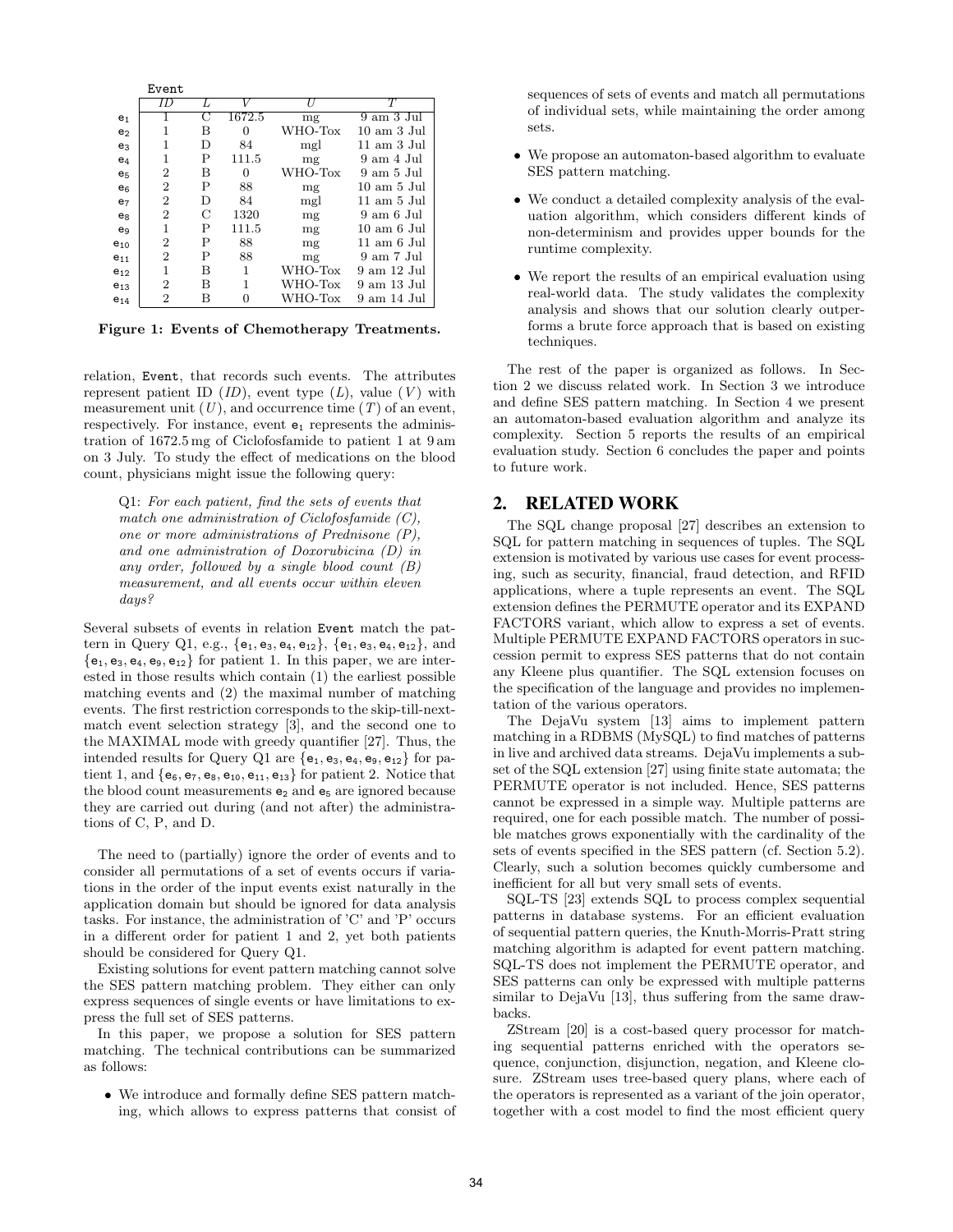|                | Event          |   |        |         |                                |
|----------------|----------------|---|--------|---------|--------------------------------|
|                | ΙD             |   |        |         | $\tau$                         |
| e <sub>1</sub> |                | С | 1672.5 | mg      | am 3 Jul<br>9                  |
| e <sub>2</sub> | 1              | в | 0      | WHO-Tox | $10 \text{ am } 3 \text{ Jul}$ |
| e3             | 1              | D | 84     | mgl     | 11 am 3 Jul                    |
| e <sub>4</sub> | 1              | Ρ | 111.5  | mg      | $am4$ Jul<br>9                 |
| e <sub>5</sub> | $\overline{2}$ | В | 0      | WHO-Tox | 9 am 5 Jul                     |
| e <sub>6</sub> | $\overline{2}$ | Ρ | 88     | mg      | $10 \text{ am } 5 \text{ Jul}$ |
| e <sub>7</sub> | 2              | D | 84     | mgl     | 11 am 5 Jul                    |
| $e_8$          | $\overline{2}$ | С | 1320   | mg      | 9 am 6 Jul                     |
| e9             | 1              | Ρ | 111.5  | mg      | 10 am 6 Jul                    |
| $e_{10}$       | $\overline{2}$ | Ρ | 88     | mg      | 11 am 6 Jul                    |
| $e_{11}$       | $\overline{2}$ | Р | 88     | mg      | 9 am 7 Jul                     |
| $e_{12}$       | 1              | в | 1      | WHO-Tox | 9 am 12 Jul                    |
| $e_{13}$       | 2              | в | 1      | WHO-Tox | 9 am 13 Jul                    |
| $e_{14}$       | 2              | в | 0      | WHO-Tox | $am 14$ Jul<br>9               |

Figure 1: Events of Chemotherapy Treatments.

relation, Event, that records such events. The attributes represent patient ID  $(ID)$ , event type  $(L)$ , value  $(V)$  with measurement unit  $(U)$ , and occurrence time  $(T)$  of an event, respectively. For instance, event  $e_1$  represents the administration of 1672.5 mg of Ciclofosfamide to patient 1 at 9 am on 3 July. To study the effect of medications on the blood count, physicians might issue the following query:

Q1: For each patient, find the sets of events that match one administration of Ciclofosfamide  $(C)$ , one or more administrations of Prednisone (P), and one administration of Doxorubicina (D) in any order, followed by a single blood count  $(B)$ measurement, and all events occur within eleven days?

Several subsets of events in relation Event match the pattern in Query Q1, e.g.,  $\{e_1, e_3, e_4, e_{12}\}$ ,  $\{e_1, e_3, e_4, e_{12}\}$ , and  ${e_1, e_3, e_4, e_9, e_{12}}$  for patient 1. In this paper, we are interested in those results which contain (1) the earliest possible matching events and (2) the maximal number of matching events. The first restriction corresponds to the skip-till-nextmatch event selection strategy [3], and the second one to the MAXIMAL mode with greedy quantifier [27]. Thus, the intended results for Query Q1 are  $\{e_1, e_3, e_4, e_9, e_{12}\}$  for patient 1, and  $\{e_6, e_7, e_8, e_{10}, e_{11}, e_{13}\}$  for patient 2. Notice that the blood count measurements  $e_2$  and  $e_5$  are ignored because they are carried out during (and not after) the administrations of C, P, and D.

The need to (partially) ignore the order of events and to consider all permutations of a set of events occurs if variations in the order of the input events exist naturally in the application domain but should be ignored for data analysis tasks. For instance, the administration of 'C' and 'P' occurs in a different order for patient 1 and 2, yet both patients should be considered for Query Q1.

Existing solutions for event pattern matching cannot solve the SES pattern matching problem. They either can only express sequences of single events or have limitations to express the full set of SES patterns.

In this paper, we propose a solution for SES pattern matching. The technical contributions can be summarized as follows:

• We introduce and formally define SES pattern matching, which allows to express patterns that consist of sequences of sets of events and match all permutations of individual sets, while maintaining the order among sets.

- We propose an automaton-based algorithm to evaluate SES pattern matching.
- We conduct a detailed complexity analysis of the evaluation algorithm, which considers different kinds of non-determinism and provides upper bounds for the runtime complexity.
- We report the results of an empirical evaluation using real-world data. The study validates the complexity analysis and shows that our solution clearly outperforms a brute force approach that is based on existing techniques.

The rest of the paper is organized as follows. In Section 2 we discuss related work. In Section 3 we introduce and define SES pattern matching. In Section 4 we present an automaton-based evaluation algorithm and analyze its complexity. Section 5 reports the results of an empirical evaluation study. Section 6 concludes the paper and points to future work.

# 2. RELATED WORK

The SQL change proposal [27] describes an extension to SQL for pattern matching in sequences of tuples. The SQL extension is motivated by various use cases for event processing, such as security, financial, fraud detection, and RFID applications, where a tuple represents an event. The SQL extension defines the PERMUTE operator and its EXPAND FACTORS variant, which allow to express a set of events. Multiple PERMUTE EXPAND FACTORS operators in succession permit to express SES patterns that do not contain any Kleene plus quantifier. The SQL extension focuses on the specification of the language and provides no implementation of the various operators.

The DejaVu system [13] aims to implement pattern matching in a RDBMS (MySQL) to find matches of patterns in live and archived data streams. DejaVu implements a subset of the SQL extension [27] using finite state automata; the PERMUTE operator is not included. Hence, SES patterns cannot be expressed in a simple way. Multiple patterns are required, one for each possible match. The number of possible matches grows exponentially with the cardinality of the sets of events specified in the SES pattern (cf. Section 5.2). Clearly, such a solution becomes quickly cumbersome and inefficient for all but very small sets of events.

SQL-TS [23] extends SQL to process complex sequential patterns in database systems. For an efficient evaluation of sequential pattern queries, the Knuth-Morris-Pratt string matching algorithm is adapted for event pattern matching. SQL-TS does not implement the PERMUTE operator, and SES patterns can only be expressed with multiple patterns similar to DejaVu [13], thus suffering from the same drawbacks.

ZStream [20] is a cost-based query processor for matching sequential patterns enriched with the operators sequence, conjunction, disjunction, negation, and Kleene closure. ZStream uses tree-based query plans, where each of the operators is represented as a variant of the join operator, together with a cost model to find the most efficient query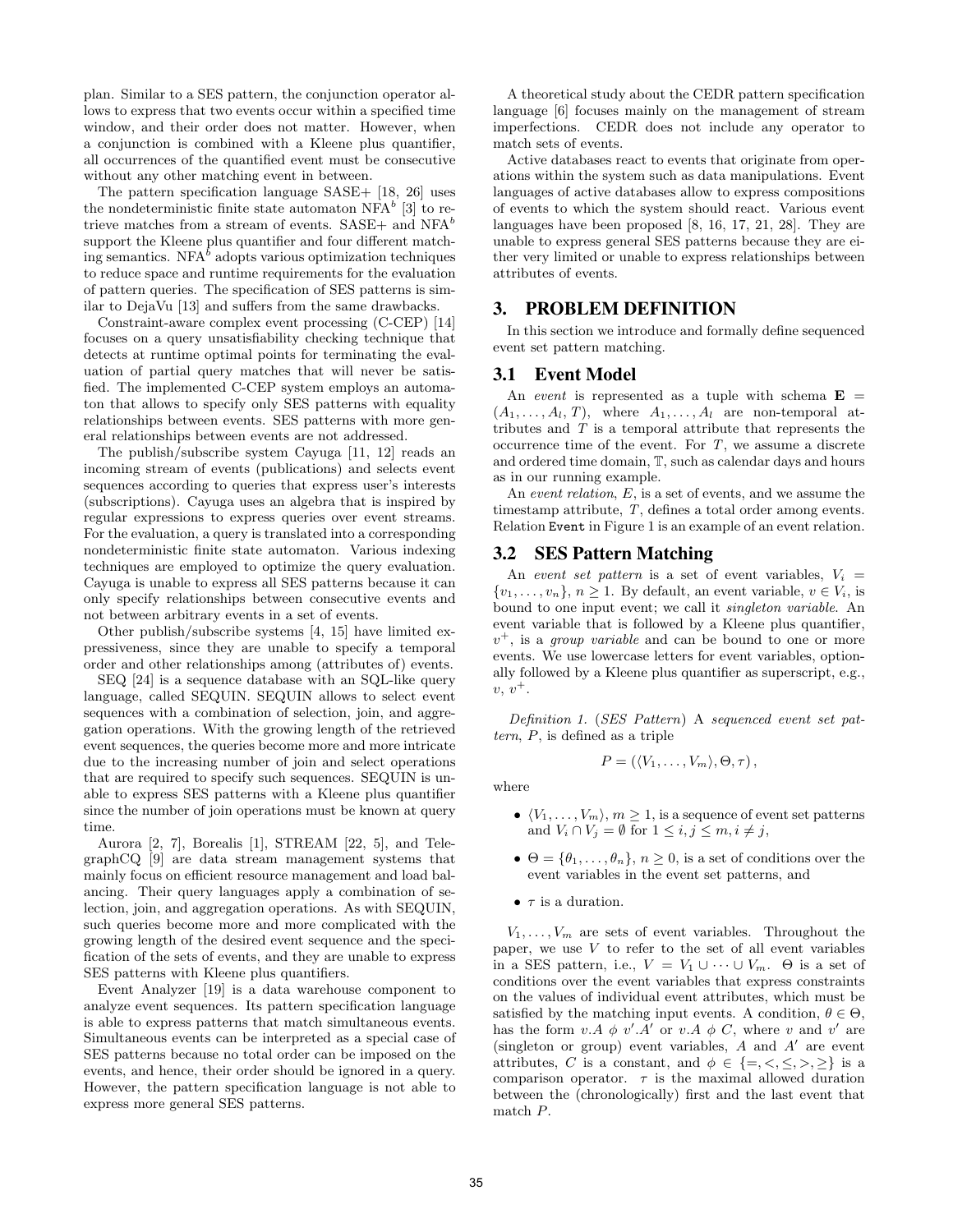plan. Similar to a SES pattern, the conjunction operator allows to express that two events occur within a specified time window, and their order does not matter. However, when a conjunction is combined with a Kleene plus quantifier, all occurrences of the quantified event must be consecutive without any other matching event in between.

The pattern specification language SASE+ [18, 26] uses the nondeterministic finite state automaton NFA $^b$  [3] to retrieve matches from a stream of events.  $SASE+$  and  $NFA<sup>b</sup>$ support the Kleene plus quantifier and four different matching semantics. NFA $^b$  adopts various optimization techniques to reduce space and runtime requirements for the evaluation of pattern queries. The specification of SES patterns is similar to DejaVu [13] and suffers from the same drawbacks.

Constraint-aware complex event processing (C-CEP) [14] focuses on a query unsatisfiability checking technique that detects at runtime optimal points for terminating the evaluation of partial query matches that will never be satisfied. The implemented C-CEP system employs an automaton that allows to specify only SES patterns with equality relationships between events. SES patterns with more general relationships between events are not addressed.

The publish/subscribe system Cayuga [11, 12] reads an incoming stream of events (publications) and selects event sequences according to queries that express user's interests (subscriptions). Cayuga uses an algebra that is inspired by regular expressions to express queries over event streams. For the evaluation, a query is translated into a corresponding nondeterministic finite state automaton. Various indexing techniques are employed to optimize the query evaluation. Cayuga is unable to express all SES patterns because it can only specify relationships between consecutive events and not between arbitrary events in a set of events.

Other publish/subscribe systems [4, 15] have limited expressiveness, since they are unable to specify a temporal order and other relationships among (attributes of) events.

SEQ [24] is a sequence database with an SQL-like query language, called SEQUIN. SEQUIN allows to select event sequences with a combination of selection, join, and aggregation operations. With the growing length of the retrieved event sequences, the queries become more and more intricate due to the increasing number of join and select operations that are required to specify such sequences. SEQUIN is unable to express SES patterns with a Kleene plus quantifier since the number of join operations must be known at query time.

Aurora [2, 7], Borealis [1], STREAM [22, 5], and TelegraphCQ [9] are data stream management systems that mainly focus on efficient resource management and load balancing. Their query languages apply a combination of selection, join, and aggregation operations. As with SEQUIN, such queries become more and more complicated with the growing length of the desired event sequence and the specification of the sets of events, and they are unable to express SES patterns with Kleene plus quantifiers.

Event Analyzer [19] is a data warehouse component to analyze event sequences. Its pattern specification language is able to express patterns that match simultaneous events. Simultaneous events can be interpreted as a special case of SES patterns because no total order can be imposed on the events, and hence, their order should be ignored in a query. However, the pattern specification language is not able to express more general SES patterns.

A theoretical study about the CEDR pattern specification language [6] focuses mainly on the management of stream imperfections. CEDR does not include any operator to match sets of events.

Active databases react to events that originate from operations within the system such as data manipulations. Event languages of active databases allow to express compositions of events to which the system should react. Various event languages have been proposed [8, 16, 17, 21, 28]. They are unable to express general SES patterns because they are either very limited or unable to express relationships between attributes of events.

# 3. PROBLEM DEFINITION

In this section we introduce and formally define sequenced event set pattern matching.

### 3.1 Event Model

An event is represented as a tuple with schema  $\mathbf{E}$  =  $(A_1, \ldots, A_l, T)$ , where  $A_1, \ldots, A_l$  are non-temporal attributes and  $T$  is a temporal attribute that represents the occurrence time of the event. For  $T$ , we assume a discrete and ordered time domain, T, such as calendar days and hours as in our running example.

An event relation, E, is a set of events, and we assume the timestamp attribute, T, defines a total order among events. Relation Event in Figure 1 is an example of an event relation.

# 3.2 SES Pattern Matching

An event set pattern is a set of event variables,  $V_i$  =  $\{v_1, \ldots, v_n\}, n \geq 1$ . By default, an event variable,  $v \in V_i$ , is bound to one input event; we call it singleton variable. An event variable that is followed by a Kleene plus quantifier,  $v^+$ , is a *group variable* and can be bound to one or more events. We use lowercase letters for event variables, optionally followed by a Kleene plus quantifier as superscript, e.g.,  $v, v^+$ .

Definition 1. (SES Pattern) A sequenced event set pattern, P, is defined as a triple

$$
P = (\langle V_1, \ldots, V_m \rangle, \Theta, \tau),
$$

where

- $\langle V_1, \ldots, V_m \rangle, m \geq 1$ , is a sequence of event set patterns and  $V_i \cap V_j = \emptyset$  for  $1 \leq i, j \leq m, i \neq j$ ,
- $\bullet \Theta = {\theta_1, \ldots, \theta_n}, n \geq 0$ , is a set of conditions over the event variables in the event set patterns, and
- $\tau$  is a duration.

 $V_1, \ldots, V_m$  are sets of event variables. Throughout the paper, we use  $V$  to refer to the set of all event variables in a SES pattern, i.e.,  $V = V_1 \cup \cdots \cup V_m$ .  $\Theta$  is a set of conditions over the event variables that express constraints on the values of individual event attributes, which must be satisfied by the matching input events. A condition,  $\theta \in \Theta$ , has the form  $v.A \phi v'.A'$  or  $v.A \phi C$ , where v and v' are (singleton or group) event variables,  $A$  and  $A'$  are event attributes, C is a constant, and  $\phi \in \{=,<,\leq,>\geq\}$  is a comparison operator.  $\tau$  is the maximal allowed duration between the (chronologically) first and the last event that match P.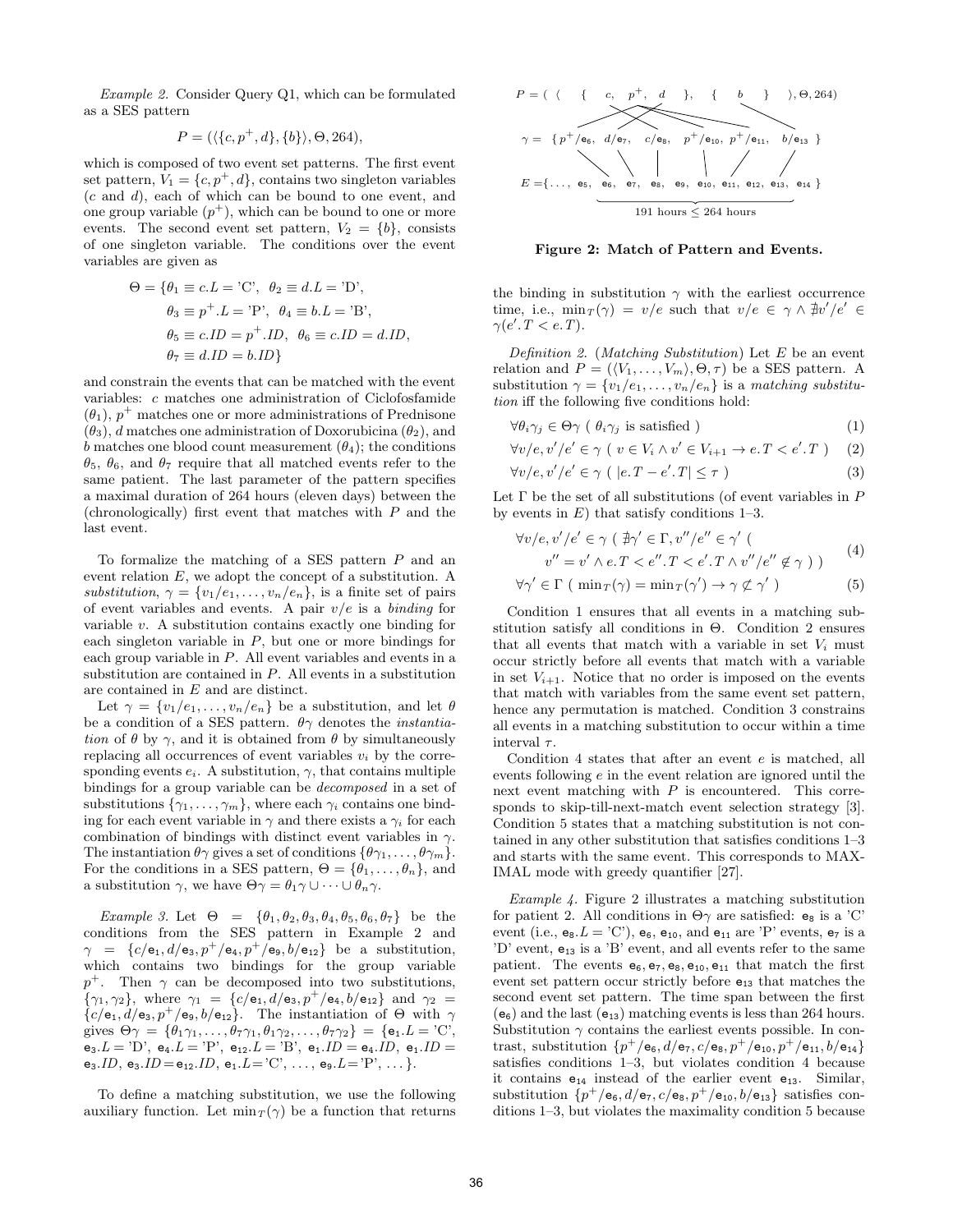Example 2. Consider Query Q1, which can be formulated as a SES pattern

$$
P = (\langle \{c, p^+, d\}, \{b\} \rangle, \Theta, 264),
$$

which is composed of two event set patterns. The first event set pattern,  $V_1 = \{c, p^+, d\}$ , contains two singleton variables (c and d), each of which can be bound to one event, and one group variable  $(p^+)$ , which can be bound to one or more events. The second event set pattern,  $V_2 = \{b\}$ , consists of one singleton variable. The conditions over the event variables are given as

$$
\Theta = \{ \theta_1 \equiv c.L = \text{'C'}, \ \theta_2 \equiv d.L = \text{'D'},
$$

$$
\theta_3 \equiv p^+.L = \text{'P'}, \ \theta_4 \equiv b.L = \text{'B'},
$$

$$
\theta_5 \equiv c.ID = p^+.ID, \ \theta_6 \equiv c.ID = d.ID,
$$

$$
\theta_7 \equiv d.ID = b.ID \}
$$

and constrain the events that can be matched with the event variables: c matches one administration of Ciclofosfamide  $(\theta_1)$ ,  $p^+$  matches one or more administrations of Prednisone  $(\theta_3)$ , d matches one administration of Doxorubicina  $(\theta_2)$ , and b matches one blood count measurement  $(\theta_4)$ ; the conditions  $\theta_5$ ,  $\theta_6$ , and  $\theta_7$  require that all matched events refer to the same patient. The last parameter of the pattern specifies a maximal duration of 264 hours (eleven days) between the (chronologically) first event that matches with P and the last event.

To formalize the matching of a SES pattern P and an event relation E, we adopt the concept of a substitution. A substitution,  $\gamma = \{v_1/e_1, \ldots, v_n/e_n\}$ , is a finite set of pairs of event variables and events. A pair  $v/e$  is a binding for variable v. A substitution contains exactly one binding for each singleton variable in  $P$ , but one or more bindings for each group variable in  $P$ . All event variables and events in a substitution are contained in  $P$ . All events in a substitution are contained in E and are distinct.

Let  $\gamma = \{v_1/e_1, \ldots, v_n/e_n\}$  be a substitution, and let  $\theta$ be a condition of a SES pattern.  $\theta \gamma$  denotes the *instantia*tion of  $\theta$  by  $\gamma$ , and it is obtained from  $\theta$  by simultaneously replacing all occurrences of event variables  $v_i$  by the corresponding events  $e_i$ . A substitution,  $\gamma$ , that contains multiple bindings for a group variable can be decomposed in a set of substitutions  $\{\gamma_1, \ldots, \gamma_m\}$ , where each  $\gamma_i$  contains one binding for each event variable in  $\gamma$  and there exists a  $\gamma_i$  for each combination of bindings with distinct event variables in  $\gamma$ . The instantiation  $\theta \gamma$  gives a set of conditions  $\{\theta \gamma_1, \ldots, \theta \gamma_m\}.$ For the conditions in a SES pattern,  $\Theta = {\theta_1, \ldots, \theta_n}$ , and a substitution  $\gamma$ , we have  $\Theta \gamma = \theta_1 \gamma \cup \cdots \cup \theta_n \gamma$ .

Example 3. Let  $\Theta = {\theta_1, \theta_2, \theta_3, \theta_4, \theta_5, \theta_6, \theta_7}$  be the conditions from the SES pattern in Example 2 and  $\gamma = \{c/\mathsf{e}_1, d/\mathsf{e}_3, p^+/\mathsf{e}_4, p^+/\mathsf{e}_9, b/\mathsf{e}_{12}\}$  be a substitution, which contains two bindings for the group variable  $p^+$ . Then  $\gamma$  can be decomposed into two substitutions,  $\{\gamma_1, \gamma_2\}$ , where  $\gamma_1 = \{c/e_1, d/e_3, p^+/e_4, b/e_{12}\}$  and  $\gamma_2 =$  ${c/e_1, d/e_3, p^+ / e_9, b/e_{12}}$ . The instantiation of  $\Theta$  with  $\gamma$ gives  $\Theta \gamma = \{ \theta_1 \gamma_1, \dots, \theta_7 \gamma_1, \theta_1 \gamma_2, \dots, \theta_7 \gamma_2 \} = \{ \mathsf{e}_1 \cdot L = \text{'C'},$  $e_3.L = 'D', e_4.L = 'P', e_{12}.L = 'B', e_1.ID = e_4.ID, e_1.ID =$ e<sub>3</sub>.ID, e<sub>3</sub>.ID = e<sub>12</sub>.ID, e<sub>1</sub>.L = 'C', ..., e<sub>9</sub>.L = 'P', ...}.

To define a matching substitution, we use the following auxiliary function. Let  $\min_{T} (\gamma)$  be a function that returns



Figure 2: Match of Pattern and Events.

the binding in substitution  $\gamma$  with the earliest occurrence time, i.e.,  $\min_{T}(\gamma) = v/e$  such that  $v/e \in \gamma \wedge \frac{1}{2}v'/e' \in$  $\gamma(e'.T < e.T).$ 

Definition 2. (Matching Substitution) Let  $E$  be an event relation and  $P = (\langle V_1, \ldots, V_m \rangle, \Theta, \tau)$  be a SES pattern. A substitution  $\gamma = \{v_1/e_1, \ldots, v_n/e_n\}$  is a matching substitution iff the following five conditions hold:

$$
\forall \theta_i \gamma_j \in \Theta \gamma \ (\ \theta_i \gamma_j \text{ is satisfied } ) \tag{1}
$$

$$
\forall v/e, v'/e' \in \gamma \ (v \in V_i \land v' \in V_{i+1} \to e \colon T < e' \colon T \tag{2}
$$

$$
\forall v/e, v'/e' \in \gamma \ ( \ |e.T - e'.T| \le \tau \ ) \tag{3}
$$

Let  $\Gamma$  be the set of all substitutions (of event variables in  $P$ by events in  $E$ ) that satisfy conditions 1–3.

$$
\forall v/e, v'/e' \in \gamma \ (\nexists \gamma' \in \Gamma, v''/e'' \in \gamma' \ (
$$
  
\n
$$
v'' = v' \wedge e \cdot T < e' \cdot T < e' \cdot T \wedge v''/e'' \notin \gamma \ )
$$
\n
$$
\tag{4}
$$

$$
\forall \gamma' \in \Gamma \ (\min_{T} (\gamma) = \min_{T} (\gamma') \to \gamma \not\subset \gamma' \ )
$$
 (5)

Condition 1 ensures that all events in a matching substitution satisfy all conditions in Θ. Condition 2 ensures that all events that match with a variable in set  $V_i$  must occur strictly before all events that match with a variable in set  $V_{i+1}$ . Notice that no order is imposed on the events that match with variables from the same event set pattern, hence any permutation is matched. Condition 3 constrains all events in a matching substitution to occur within a time interval  $\tau$ .

Condition 4 states that after an event e is matched, all events following e in the event relation are ignored until the next event matching with  $P$  is encountered. This corresponds to skip-till-next-match event selection strategy [3]. Condition 5 states that a matching substitution is not contained in any other substitution that satisfies conditions 1–3 and starts with the same event. This corresponds to MAX-IMAL mode with greedy quantifier [27].

Example 4. Figure 2 illustrates a matching substitution for patient 2. All conditions in  $\Theta$  $\gamma$  are satisfied: e<sub>8</sub> is a 'C' event (i.e.,  $e_8.L = 'C'$ ),  $e_6$ ,  $e_{10}$ , and  $e_{11}$  are 'P' events,  $e_7$  is a 'D' event,  $e_{13}$  is a 'B' event, and all events refer to the same patient. The events  $e_6, e_7, e_8, e_{10}, e_{11}$  that match the first event set pattern occur strictly before  $e_{13}$  that matches the second event set pattern. The time span between the first  $(e_6)$  and the last  $(e_{13})$  matching events is less than 264 hours. Substitution  $\gamma$  contains the earliest events possible. In contrast, substitution  $\{p^+/{\tt e_6},d/{\tt e_7},c/{\tt e_8},p^+/{\tt e_{10}},p^+/{\tt e_{11}},b/{\tt e_{14}}\}$ satisfies conditions 1–3, but violates condition 4 because it contains  $e_{14}$  instead of the earlier event  $e_{13}$ . Similar, substitution  $\{p^+/\mathsf{e}_6, d/\mathsf{e}_7, c/\mathsf{e}_8, p^+/\mathsf{e}_{10}, b/\mathsf{e}_{13}\}$  satisfies conditions 1–3, but violates the maximality condition 5 because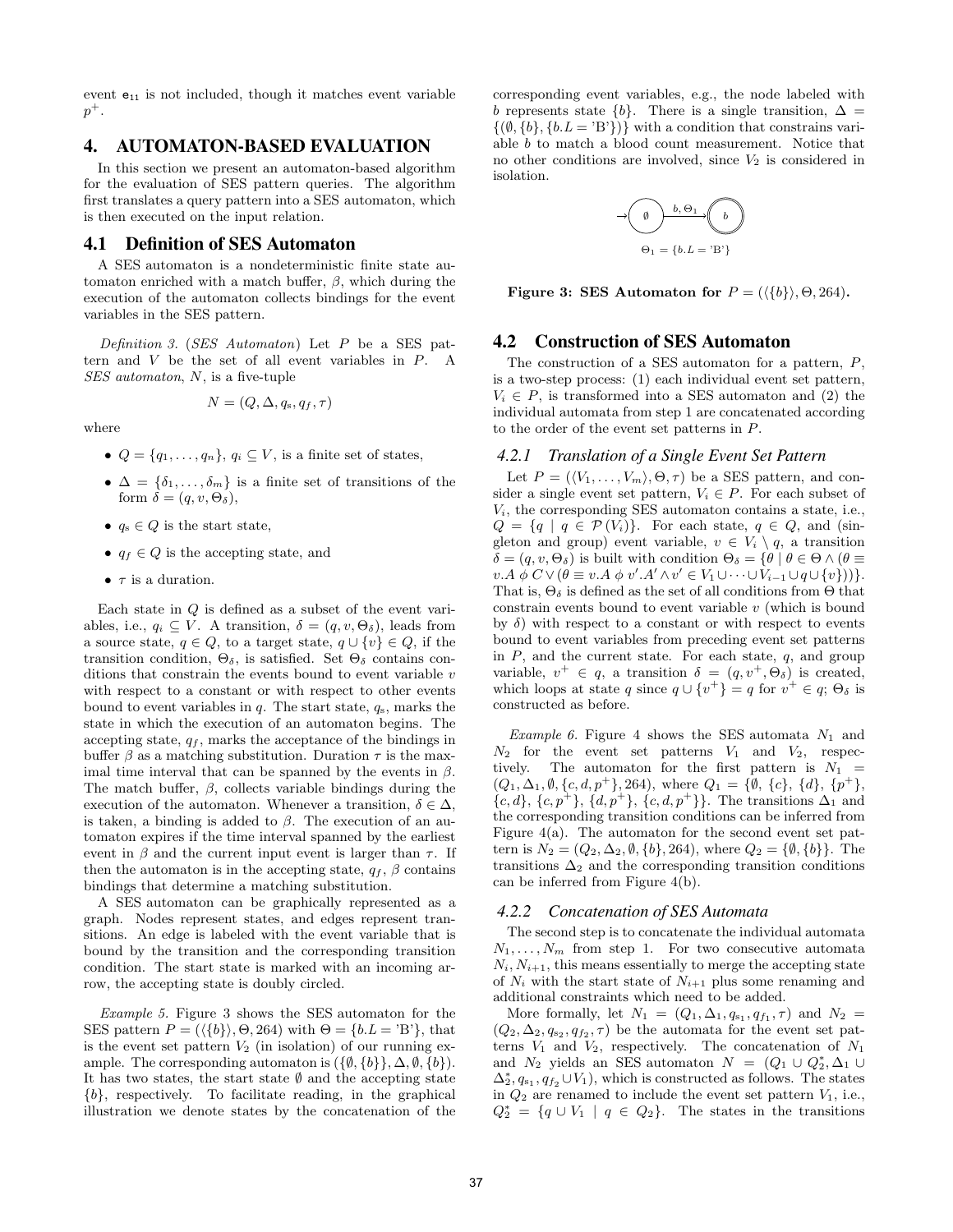event  $e_{11}$  is not included, though it matches event variable  $p^+$ .

### 4. AUTOMATON-BASED EVALUATION

In this section we present an automaton-based algorithm for the evaluation of SES pattern queries. The algorithm first translates a query pattern into a SES automaton, which is then executed on the input relation.

# 4.1 Definition of SES Automaton

A SES automaton is a nondeterministic finite state automaton enriched with a match buffer,  $\beta$ , which during the execution of the automaton collects bindings for the event variables in the SES pattern.

Definition 3. (SES Automaton) Let  $P$  be a SES pattern and V be the set of all event variables in P. A SES automaton, N, is a five-tuple

$$
N = (Q, \Delta, q_{\rm s}, q_{\rm f}, \tau)
$$

where

- $Q = \{q_1, \ldots, q_n\}, q_i \subseteq V$ , is a finite set of states,
- $\Delta = {\delta_1, ..., \delta_m}$  is a finite set of transitions of the form  $\delta = (q, v, \Theta_{\delta}),$
- $q_s \in Q$  is the start state,
- $q_f \in Q$  is the accepting state, and
- $\bullet\,$   $\tau$  is a duration.

Each state in  $Q$  is defined as a subset of the event variables, i.e.,  $q_i \subseteq V$ . A transition,  $\delta = (q, v, \Theta_{\delta})$ , leads from a source state,  $q \in Q$ , to a target state,  $q \cup \{v\} \in Q$ , if the transition condition,  $\Theta_{\delta}$ , is satisfied. Set  $\Theta_{\delta}$  contains conditions that constrain the events bound to event variable  $v$ with respect to a constant or with respect to other events bound to event variables in  $q$ . The start state,  $q_s$ , marks the state in which the execution of an automaton begins. The accepting state,  $q_f$ , marks the acceptance of the bindings in buffer  $\beta$  as a matching substitution. Duration  $\tau$  is the maximal time interval that can be spanned by the events in  $\beta$ . The match buffer,  $\beta$ , collects variable bindings during the execution of the automaton. Whenever a transition,  $\delta \in \Delta$ , is taken, a binding is added to  $\beta$ . The execution of an automaton expires if the time interval spanned by the earliest event in  $\beta$  and the current input event is larger than  $\tau$ . If then the automaton is in the accepting state,  $q_f$ ,  $\beta$  contains bindings that determine a matching substitution.

A SES automaton can be graphically represented as a graph. Nodes represent states, and edges represent transitions. An edge is labeled with the event variable that is bound by the transition and the corresponding transition condition. The start state is marked with an incoming arrow, the accepting state is doubly circled.

Example 5. Figure 3 shows the SES automaton for the SES pattern  $P = (\langle \{b\} \rangle, \Theta, 264)$  with  $\Theta = \{b.L = 'B'\}$ , that is the event set pattern  $V_2$  (in isolation) of our running example. The corresponding automaton is  $({\{\emptyset, \{b\}\}, \Delta, \emptyset, \{b\})}$ . It has two states, the start state  $\emptyset$  and the accepting state  ${b}$ , respectively. To facilitate reading, in the graphical illustration we denote states by the concatenation of the corresponding event variables, e.g., the node labeled with b represents state  ${b}$ . There is a single transition,  $\Delta =$  $\{(\emptyset, \{b\}, \{b\}, \{b\})\}$  with a condition that constrains variable b to match a blood count measurement. Notice that no other conditions are involved, since  $V_2$  is considered in isolation.



Figure 3: SES Automaton for  $P = (\langle \{b\} \rangle, \Theta, 264)$ .

# 4.2 Construction of SES Automaton

The construction of a SES automaton for a pattern,  $P$ , is a two-step process: (1) each individual event set pattern,  $V_i \in P$ , is transformed into a SES automaton and (2) the individual automata from step 1 are concatenated according to the order of the event set patterns in P.

#### *4.2.1 Translation of a Single Event Set Pattern*

Let  $P = (\langle V_1, \ldots, V_m \rangle, \Theta, \tau)$  be a SES pattern, and consider a single event set pattern,  $V_i \in P$ . For each subset of  $V_i$ , the corresponding SES automaton contains a state, i.e.,  $Q = \{q \mid q \in \mathcal{P}(V_i)\}.$  For each state,  $q \in Q$ , and (singleton and group) event variable,  $v \in V_i \setminus q$ , a transition  $\delta = (q, v, \Theta_{\delta})$  is built with condition  $\Theta_{\delta} = \{\theta \mid \theta \in \Theta \wedge (\theta \equiv$  $v.A \phi C \vee (\theta \equiv v.A \phi v'.A' \wedge v' \in V_1 \cup \cdots \cup V_{i-1} \cup q \cup \{v\}))$ . That is,  $\Theta_{\delta}$  is defined as the set of all conditions from  $\Theta$  that constrain events bound to event variable  $v$  (which is bound by  $\delta$ ) with respect to a constant or with respect to events bound to event variables from preceding event set patterns in  $P$ , and the current state. For each state,  $q$ , and group variable,  $v^+ \in q$ , a transition  $\delta = (q, v^+, \Theta_{\delta})$  is created, which loops at state q since  $q \cup \{v^+\} = q$  for  $v^+ \in q$ ;  $\Theta_{\delta}$  is constructed as before.

Example 6. Figure 4 shows the SES automata  $N_1$  and  $N_2$  for the event set patterns  $V_1$  and  $V_2$ , respectively. The automaton for the first pattern is  $N_1$  =  $(Q_1, \Delta_1, \emptyset, \{c, d, p^+\}, 264)$ , where  $Q_1 = \{\emptyset, \{c\}, \{d\}, \{p^+\},$  ${c, d}$ ,  ${c, p<sup>+</sup>}$ ,  ${d, p<sup>+</sup>}$ ,  ${c, d, p<sup>+</sup>}$ . The transitions  $\Delta_1$  and the corresponding transition conditions can be inferred from Figure 4(a). The automaton for the second event set pattern is  $N_2 = (Q_2, \Delta_2, \emptyset, \{b\}, 264)$ , where  $Q_2 = \{\emptyset, \{b\}\}\$ . The transitions  $\Delta_2$  and the corresponding transition conditions can be inferred from Figure 4(b).

#### *4.2.2 Concatenation of SES Automata*

The second step is to concatenate the individual automata  $N_1, \ldots, N_m$  from step 1. For two consecutive automata  $N_i, N_{i+1}$ , this means essentially to merge the accepting state of  $N_i$  with the start state of  $N_{i+1}$  plus some renaming and additional constraints which need to be added.

More formally, let  $N_1 = (Q_1, \Delta_1, q_{s_1}, q_{f_1}, \tau)$  and  $N_2 =$  $(Q_2, \Delta_2, q_{s_2}, q_{f_2}, \tau)$  be the automata for the event set patterns  $V_1$  and  $V_2$ , respectively. The concatenation of  $N_1$ and  $N_2$  yields an SES automaton  $N = (Q_1 \cup Q_2^*, \Delta_1 \cup$  $\Delta_2^*, q_{s_1}, q_{f_2} \cup V_1$ , which is constructed as follows. The states in  $Q_2$  are renamed to include the event set pattern  $V_1$ , i.e.,  $Q_2^* = \{q \cup V_1 \mid q \in Q_2\}.$  The states in the transitions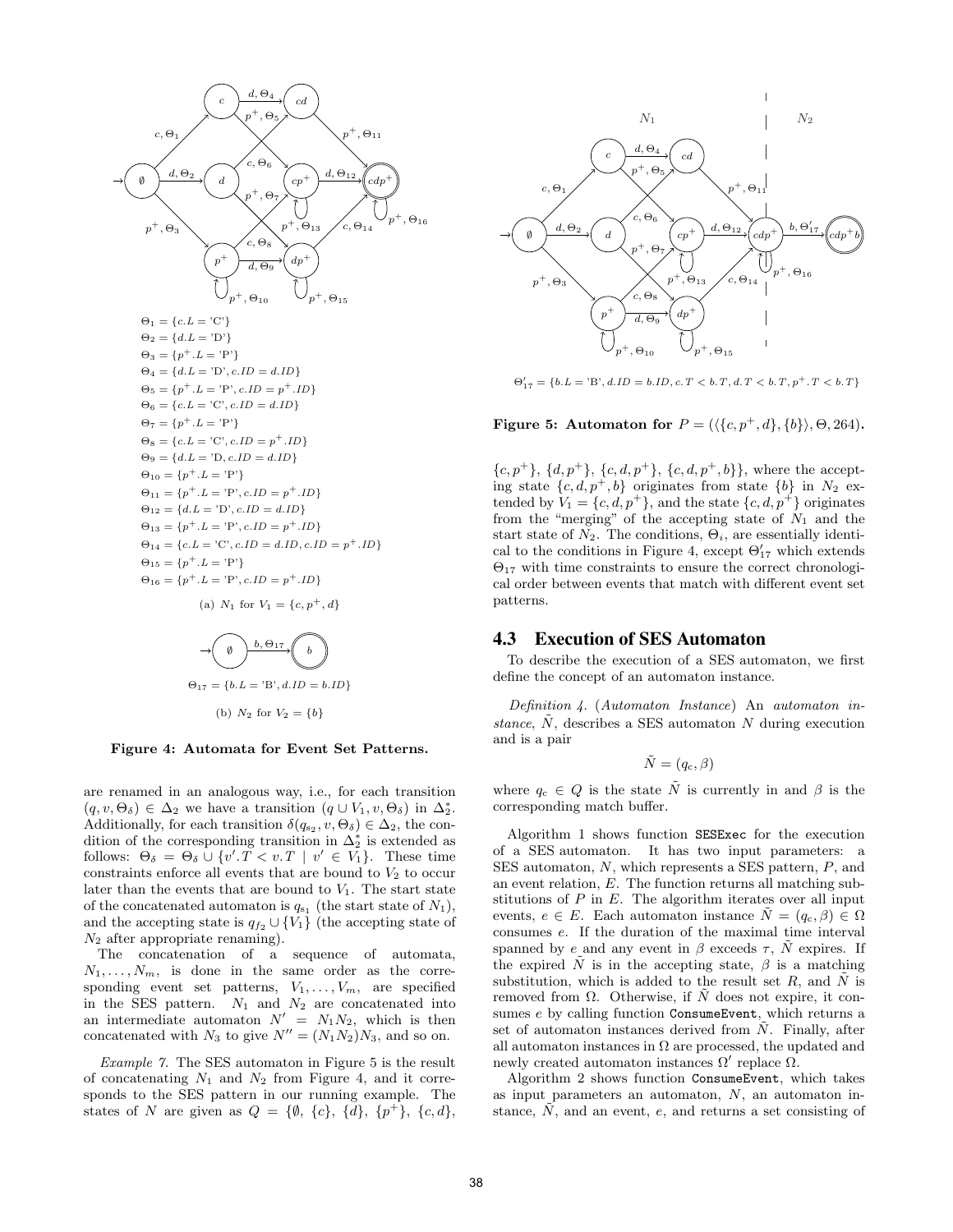

 $\Theta_{17} = \{b.L = 'B', d.ID = b.ID\}$ (b)  $N_2$  for  $V_2 = \{b\}$ 

Figure 4: Automata for Event Set Patterns.

are renamed in an analogous way, i.e., for each transition  $(q, v, \Theta_{\delta}) \in \Delta_2$  we have a transition  $(q \cup V_1, v, \Theta_{\delta})$  in  $\Delta_2^*$ . Additionally, for each transition  $\delta(q_{s_2}, v, \Theta_{\delta}) \in \Delta_2$ , the condition of the corresponding transition in  $\Delta_2^*$  is extended as follows:  $\Theta_{\delta} = \Theta_{\delta} \cup \{v'.T < v.T \mid v' \in V_1\}$ . These time constraints enforce all events that are bound to  $V_2$  to occur later than the events that are bound to  $V_1$ . The start state of the concatenated automaton is  $q_{s_1}$  (the start state of  $N_1$ ), and the accepting state is  $q_{f2} \cup \{V_1\}$  (the accepting state of  $N_2$  after appropriate renaming).

The concatenation of a sequence of automata,  $N_1, \ldots, N_m$ , is done in the same order as the corresponding event set patterns,  $V_1, \ldots, V_m$ , are specified in the SES pattern.  $N_1$  and  $N_2$  are concatenated into an intermediate automaton  $N' = N_1 N_2$ , which is then concatenated with  $N_3$  to give  $N'' = (N_1 N_2)N_3$ , and so on.

Example 7. The SES automaton in Figure 5 is the result of concatenating  $N_1$  and  $N_2$  from Figure 4, and it corresponds to the SES pattern in our running example. The states of N are given as  $Q = \{\emptyset, \{c\}, \{d\}, \{p^+\}, \{c, d\},\$ 



 $\Theta_{17}' = \{b.L = \text{'B'}, d.ID = b.ID, c.T < b.T, d.T < b.T, p^+.T < b.T\}$ 

Figure 5: Automaton for  $P = (\langle {c, p^+, d}, {b} \rangle, \Theta, 264)$ .

 ${c, p<sup>+</sup>}, {d, p<sup>+</sup>}, {c, d, p<sup>+</sup>}, {c, d, p<sup>+</sup>, b}, where the accept$ ing state  $\{c, d, p^+, b\}$  originates from state  $\{b\}$  in  $N_2$  extended by  $V_1 = \{c, d, p^+\}$ , and the state  $\{c, d, p^+\}$  originates from the "merging" of the accepting state of  $N_1$  and the start state of  $N_2$ . The conditions,  $\Theta_i$ , are essentially identical to the conditions in Figure 4, except  $\Theta'_{17}$  which extends  $\Theta_{17}$  with time constraints to ensure the correct chronological order between events that match with different event set patterns.

### 4.3 Execution of SES Automaton

To describe the execution of a SES automaton, we first define the concept of an automaton instance.

Definition 4. (Automaton Instance) An automaton instance,  $\overline{N}$ , describes a SES automaton  $N$  during execution and is a pair

$$
\tilde{N}=(q_{\rm c},\beta)
$$

where  $q_c \in Q$  is the state  $\tilde{N}$  is currently in and  $\beta$  is the corresponding match buffer.

Algorithm 1 shows function SESExec for the execution of a SES automaton. It has two input parameters: a SES automaton, N, which represents a SES pattern, P, and an event relation, E. The function returns all matching substitutions of  $P$  in  $E$ . The algorithm iterates over all input events,  $e \in E$ . Each automaton instance  $\tilde{N} = (q_c, \beta) \in \Omega$ consumes e. If the duration of the maximal time interval spanned by e and any event in  $\beta$  exceeds  $\tau$ ,  $\tilde{N}$  expires. If the expired  $\tilde{N}$  is in the accepting state,  $\beta$  is a matching substitution, which is added to the result set R, and  $\overline{N}$  is removed from Ω. Otherwise, if N does not expire, it consumes e by calling function ConsumeEvent, which returns a set of automaton instances derived from  $N$ . Finally, after all automaton instances in  $\Omega$  are processed, the updated and newly created automaton instances  $\Omega'$  replace  $\Omega$ .

Algorithm 2 shows function ConsumeEvent, which takes as input parameters an automaton, N, an automaton instance,  $\tilde{N}$ , and an event, e, and returns a set consisting of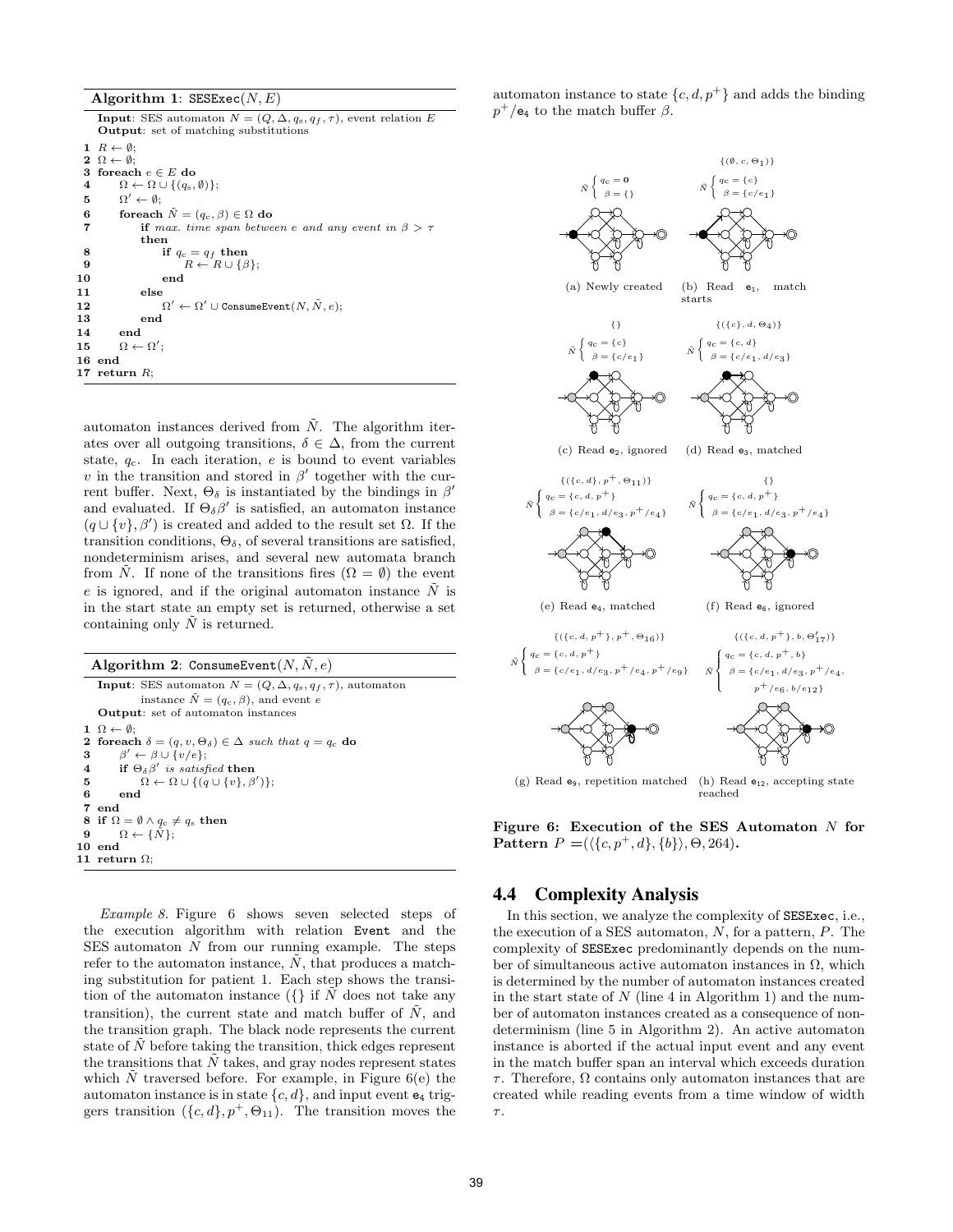Algorithm 1:  $SESExec(N, E)$ **Input**: SES automaton  $N = (Q, \Delta, q_s, q_f, \tau)$ , event relation E Output: set of matching substitutions  $1 R \leftarrow \emptyset$ :  $2 \Omega \leftarrow \emptyset;$ 3 foreach  $e \in E$  do<br>4  $\Omega \leftarrow \Omega \cup \{(q_s,$  $\Omega \leftarrow \Omega \cup \{(q_{\mathrm{s}}, \emptyset)\};$ 5  $\Omega' \leftarrow \emptyset;$ 6 foreach  $\tilde{N} = (q_c, \beta) \in \Omega$  do<br>7 if max. time span betwe if max. time span between e and any event in  $\beta > \tau$ then 8 if  $q_c = q_f$  then 9  $R \leftarrow R \cup \{\beta\};$ 10 end 11 else 12  $\Omega' \leftarrow \Omega' \cup \texttt{CosumeEvent}(N, \tilde{N}, e);$ 13 end 14 end 15  $\Omega \leftarrow \Omega';$  $16\>$ end 17 return R;

automaton instances derived from  $\tilde{N}$ . The algorithm iterates over all outgoing transitions,  $\delta \in \Delta$ , from the current state,  $q_c$ . In each iteration, e is bound to event variables v in the transition and stored in  $\beta'$  together with the current buffer. Next,  $\Theta_{\delta}$  is instantiated by the bindings in  $\beta'$ and evaluated. If  $\Theta_{\delta} \beta'$  is satisfied, an automaton instance  $(q \cup \{v\}, \beta')$  is created and added to the result set  $\Omega$ . If the transition conditions,  $\Theta_{\delta}$ , of several transitions are satisfied, nondeterminism arises, and several new automata branch from N. If none of the transitions fires  $(\Omega = \emptyset)$  the event e is ignored, and if the original automaton instance  $\tilde{N}$  is in the start state an empty set is returned, otherwise a set containing only  $\tilde{N}$  is returned.

Algorithm 2: ConsumeEvent $(N, \tilde{N}, e)$ 

**Input**: SES automaton  $N = (Q, \Delta, q_s, q_f, \tau)$ , automaton instance  $\tilde{N} = (q_c, \beta)$ , and event e Output: set of automaton instances  $1 \Omega \leftarrow \emptyset;$ 2 foreach  $\delta = (q, v, \Theta_{\delta}) \in \Delta$  such that  $q = q_c$  do<br>3  $\beta' \leftarrow \beta \cup \{v/e\}.$ **3**  $\beta' \leftarrow \beta \cup \{v/e\};$ **4** if  $\Theta_{\delta} \beta'$  is satisfied then 5  $\Omega \leftarrow \Omega \cup \{(q \cup \{v\}, \beta')\};$ 6 end 7 end 8 if  $\Omega = \emptyset \wedge q_c \neq q_s$  then<br>9  $\Omega \leftarrow {\tilde{N}}$ :  $\Omega \leftarrow {\tilde{N}};$  $10$  end 11 return Ω;

Example 8. Figure 6 shows seven selected steps of the execution algorithm with relation Event and the SES automaton N from our running example. The steps refer to the automaton instance,  $\tilde{N}$ , that produces a matching substitution for patient 1. Each step shows the transition of the automaton instance  $({\{\}\ \text{if} \ \tilde{N} \text{ does not take any})\}$ transition), the current state and match buffer of  $N$ , and the transition graph. The black node represents the current state of N before taking the transition, thick edges represent the transitions that  $N$  takes, and gray nodes represent states which  $N$  traversed before. For example, in Figure 6(e) the automaton instance is in state  $\{c, d\}$ , and input event  $e_4$  triggers transition  $({c, d}, p^+, \Theta_{11})$ . The transition moves the

automaton instance to state  $\{c, d, p^+\}$  and adds the binding  $p^+/\mathsf{e}_4$  to the match buffer  $\beta$ .



(g) Read e9, repetition matched (h) Read  ${\tt e_{12}},$  accepting state reached

Figure 6: Execution of the SES Automaton N for Pattern  $P = (\langle {c, p^+, d}, {b} \rangle, \Theta, 264)$ .

# 4.4 Complexity Analysis

In this section, we analyze the complexity of SESExec, i.e., the execution of a SES automaton,  $N$ , for a pattern,  $P$ . The complexity of SESExec predominantly depends on the number of simultaneous active automaton instances in  $\Omega$ , which is determined by the number of automaton instances created in the start state of  $N$  (line 4 in Algorithm 1) and the number of automaton instances created as a consequence of nondeterminism (line 5 in Algorithm 2). An active automaton instance is aborted if the actual input event and any event in the match buffer span an interval which exceeds duration  $\tau$ . Therefore,  $\Omega$  contains only automaton instances that are created while reading events from a time window of width  $\tau$ .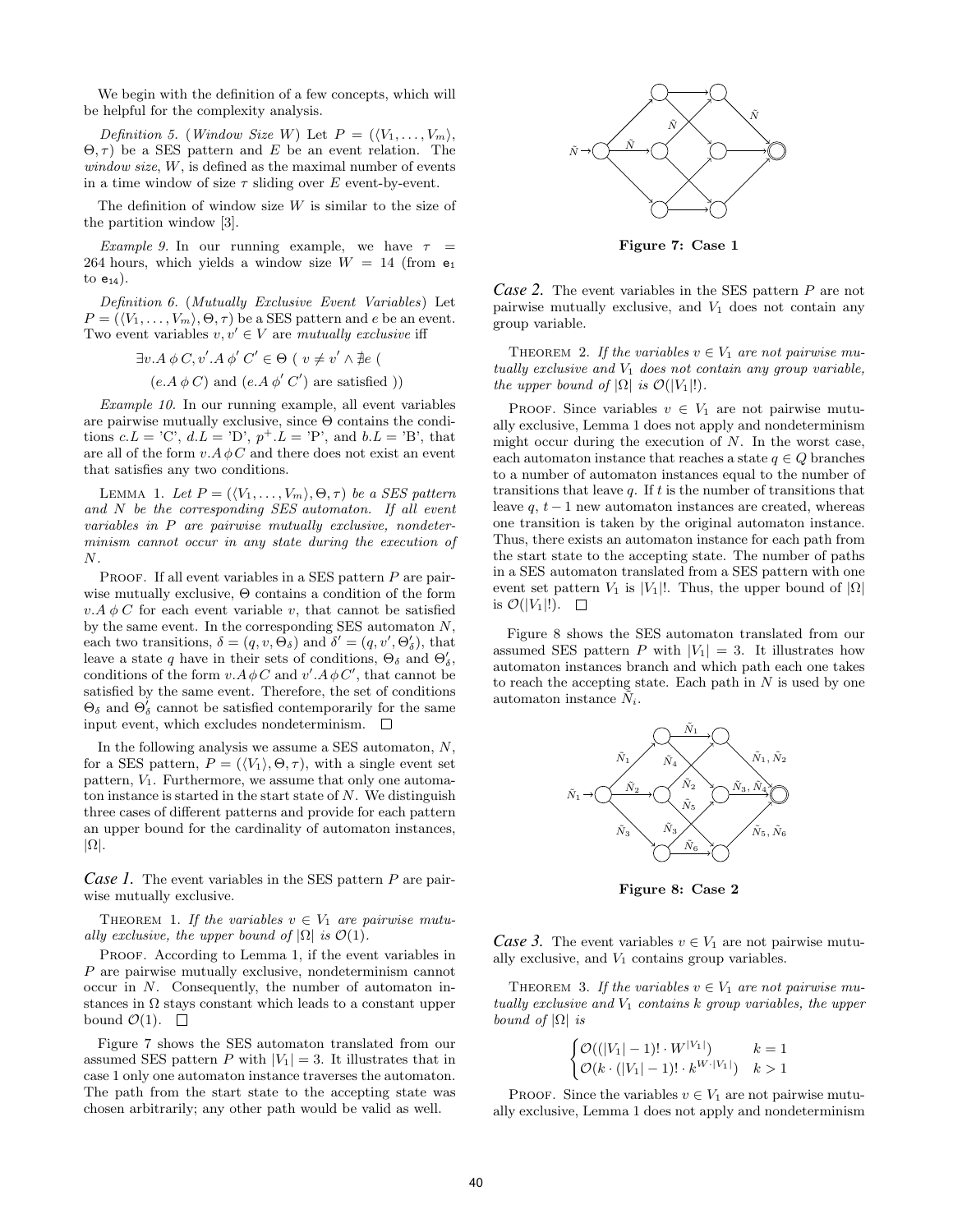We begin with the definition of a few concepts, which will be helpful for the complexity analysis.

Definition 5. (Window Size W) Let  $P = (\langle V_1, \ldots, V_m \rangle)$ ,  $(\Theta, \tau)$  be a SES pattern and E be an event relation. The  $window size, W$ , is defined as the maximal number of events in a time window of size  $\tau$  sliding over E event-by-event.

The definition of window size  $W$  is similar to the size of the partition window [3].

*Example 9.* In our running example, we have  $\tau$  = 264 hours, which yields a window size  $W = 14$  (from  $e_1$ ) to  $e_{14}$ ).

Definition 6. (Mutually Exclusive Event Variables) Let  $P = (\langle V_1, \ldots, V_m \rangle, \Theta, \tau)$  be a SES pattern and e be an event. Two event variables  $v, v' \in V$  are mutually exclusive iff

$$
\exists v.A \phi C, v'.A \phi' C' \in \Theta (v \neq v' \land \nexists e (
$$
  

$$
(e.A \phi C) \text{ and } (e.A \phi' C') \text{ are satisfied } ) )
$$

Example 10. In our running example, all event variables are pairwise mutually exclusive, since  $\Theta$  contains the conditions  $c.L = 'C', d.L = 'D', p^+. L = 'P',$  and  $b.L = 'B',$  that are all of the form  $v.A \phi C$  and there does not exist an event that satisfies any two conditions.

LEMMA 1. Let  $P = (\langle V_1, \ldots, V_m \rangle, \Theta, \tau)$  be a SES pattern and N be the corresponding SES automaton. If all event variables in P are pairwise mutually exclusive, nondeterminism cannot occur in any state during the execution of N.

PROOF. If all event variables in a SES pattern P are pairwise mutually exclusive, Θ contains a condition of the form  $v.A \phi C$  for each event variable v, that cannot be satisfied by the same event. In the corresponding SES automaton N, each two transitions,  $\delta = (q, v, \Theta_{\delta})$  and  $\delta' = (q, v', \Theta'_{\delta})$ , that leave a state q have in their sets of conditions,  $\Theta_{\delta}$  and  $\Theta'_{\delta}$ , conditions of the form  $v.A\phi C$  and  $v'.A\phi C'$ , that cannot be satisfied by the same event. Therefore, the set of conditions  $\Theta_{\delta}$  and  $\Theta'_{\delta}$  cannot be satisfied contemporarily for the same input event, which excludes nondeterminism.  $\quad \Box$ 

In the following analysis we assume a SES automaton, N, for a SES pattern,  $P = (\langle V_1 \rangle, \Theta, \tau)$ , with a single event set pattern,  $V_1$ . Furthermore, we assume that only one automaton instance is started in the start state of  $N$ . We distinguish three cases of different patterns and provide for each pattern an upper bound for the cardinality of automaton instances,  $|\Omega|$ .

*Case 1.* The event variables in the SES pattern P are pairwise mutually exclusive.

THEOREM 1. If the variables  $v \in V_1$  are pairwise mutually exclusive, the upper bound of  $|\Omega|$  is  $\mathcal{O}(1)$ .

PROOF. According to Lemma 1, if the event variables in P are pairwise mutually exclusive, nondeterminism cannot occur in N. Consequently, the number of automaton instances in  $\Omega$  stays constant which leads to a constant upper bound  $\mathcal{O}(1)$ .  $\square$ 

Figure 7 shows the SES automaton translated from our assumed SES pattern P with  $|V_1| = 3$ . It illustrates that in case 1 only one automaton instance traverses the automaton. The path from the start state to the accepting state was chosen arbitrarily; any other path would be valid as well.



Figure 7: Case 1

*Case 2.* The event variables in the SES pattern P are not pairwise mutually exclusive, and  $V_1$  does not contain any group variable.

THEOREM 2. If the variables  $v \in V_1$  are not pairwise mutually exclusive and  $V_1$  does not contain any group variable, the upper bound of  $|\Omega|$  is  $\mathcal{O}(|V_1|!)$ .

PROOF. Since variables  $v \in V_1$  are not pairwise mutually exclusive, Lemma 1 does not apply and nondeterminism might occur during the execution of  $N$ . In the worst case, each automaton instance that reaches a state  $q \in Q$  branches to a number of automaton instances equal to the number of transitions that leave  $q$ . If  $t$  is the number of transitions that leave  $q, t-1$  new automaton instances are created, whereas one transition is taken by the original automaton instance. Thus, there exists an automaton instance for each path from the start state to the accepting state. The number of paths in a SES automaton translated from a SES pattern with one event set pattern  $V_1$  is | $V_1$ |!. Thus, the upper bound of  $|\Omega|$ is  $\mathcal{O}(|V_1|!)$ .  $\Box$ 

Figure 8 shows the SES automaton translated from our assumed SES pattern P with  $|V_1| = 3$ . It illustrates how automaton instances branch and which path each one takes to reach the accepting state. Each path in  $N$  is used by one automaton instance  $N_i$ .



Figure 8: Case 2

*Case 3.* The event variables  $v \in V_1$  are not pairwise mutually exclusive, and  $V_1$  contains group variables.

THEOREM 3. If the variables  $v \in V_1$  are not pairwise mutually exclusive and  $V_1$  contains  $k$  group variables, the upper bound of  $|\Omega|$  is

$$
\begin{cases} \mathcal{O}((|V_1| - 1)! \cdot W^{|V_1|}) & k = 1 \\ \mathcal{O}(k \cdot (|V_1| - 1)! \cdot k^{W \cdot |V_1|}) & k > 1 \end{cases}
$$

PROOF. Since the variables  $v \in V_1$  are not pairwise mutually exclusive, Lemma 1 does not apply and nondeterminism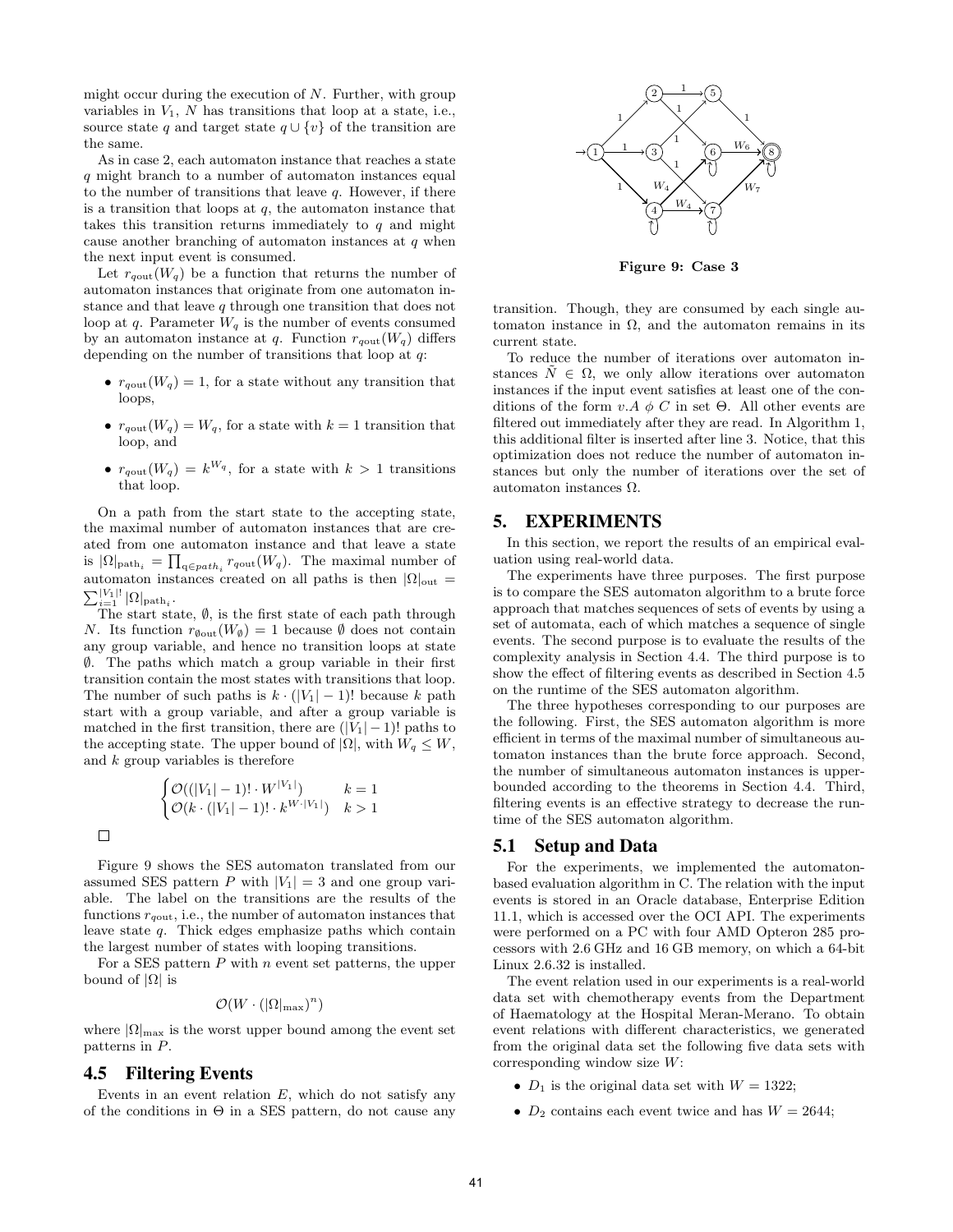might occur during the execution of  $N$ . Further, with group variables in  $V_1$ ,  $N$  has transitions that loop at a state, i.e., source state q and target state  $q \cup \{v\}$  of the transition are the same.

As in case 2, each automaton instance that reaches a state q might branch to a number of automaton instances equal to the number of transitions that leave  $q$ . However, if there is a transition that loops at  $q$ , the automaton instance that takes this transition returns immediately to  $q$  and might cause another branching of automaton instances at  $q$  when the next input event is consumed.

Let  $r_{qout}(W_q)$  be a function that returns the number of automaton instances that originate from one automaton instance and that leave  $q$  through one transition that does not loop at q. Parameter  $W_q$  is the number of events consumed by an automaton instance at q. Function  $r_{qout}(W_q)$  differs depending on the number of transitions that loop at  $q$ :

- $r_{qout}(W_q) = 1$ , for a state without any transition that loops,
- $r_{qout}(W_q) = W_q$ , for a state with  $k = 1$  transition that loop, and
- $r_{qout}(W_q) = k^{W_q}$ , for a state with  $k > 1$  transitions that loop.

On a path from the start state to the accepting state, the maximal number of automaton instances that are created from one automaton instance and that leave a state is  $|\Omega|_{\text{path}_i} = \prod_{\substack{q \in path_i}} r_{q \text{out}}(W_q)$ . The maximal number of automaton instances created on all paths is then  $|\Omega|_{\text{out}} =$  $\sum_{i=1}^{|V_1|!} |\Omega|_{\text{path}_i}.$ 

The start state, ∅, is the first state of each path through N. Its function  $r_{\phi_{\text{out}}}(W_{\phi}) = 1$  because  $\emptyset$  does not contain any group variable, and hence no transition loops at state ∅. The paths which match a group variable in their first transition contain the most states with transitions that loop. The number of such paths is  $k \cdot (|V_1| - 1)!$  because k path start with a group variable, and after a group variable is matched in the first transition, there are  $(|V_1| - 1)!$  paths to the accepting state. The upper bound of  $|\Omega|$ , with  $W_q \leq W$ , and  $k$  group variables is therefore

$$
\begin{cases} \mathcal{O}((|V_1| - 1)! \cdot W^{|V_1|}) & k = 1 \\ \mathcal{O}(k \cdot (|V_1| - 1)! \cdot k^{W \cdot |V_1|}) & k > 1 \end{cases}
$$

 $\Box$ 

Figure 9 shows the SES automaton translated from our assumed SES pattern P with  $|V_1| = 3$  and one group variable. The label on the transitions are the results of the functions  $r_{qout}$ , i.e., the number of automaton instances that leave state q. Thick edges emphasize paths which contain the largest number of states with looping transitions.

For a SES pattern  $P$  with  $n$  event set patterns, the upper bound of  $|Ω|$  is

$$
\mathcal{O}(W \cdot (|\Omega|_{\max})^n)
$$

where  $|\Omega|_{\text{max}}$  is the worst upper bound among the event set patterns in P.

### 4.5 Filtering Events

Events in an event relation  $E$ , which do not satisfy any of the conditions in Θ in a SES pattern, do not cause any



Figure 9: Case 3

transition. Though, they are consumed by each single automaton instance in  $\Omega$ , and the automaton remains in its current state.

To reduce the number of iterations over automaton instances  $\tilde{N} \in \Omega$ , we only allow iterations over automaton instances if the input event satisfies at least one of the conditions of the form  $v.A \phi C$  in set  $\Theta$ . All other events are filtered out immediately after they are read. In Algorithm 1, this additional filter is inserted after line 3. Notice, that this optimization does not reduce the number of automaton instances but only the number of iterations over the set of automaton instances Ω.

# 5. EXPERIMENTS

In this section, we report the results of an empirical evaluation using real-world data.

The experiments have three purposes. The first purpose is to compare the SES automaton algorithm to a brute force approach that matches sequences of sets of events by using a set of automata, each of which matches a sequence of single events. The second purpose is to evaluate the results of the complexity analysis in Section 4.4. The third purpose is to show the effect of filtering events as described in Section 4.5 on the runtime of the SES automaton algorithm.

The three hypotheses corresponding to our purposes are the following. First, the SES automaton algorithm is more efficient in terms of the maximal number of simultaneous automaton instances than the brute force approach. Second, the number of simultaneous automaton instances is upperbounded according to the theorems in Section 4.4. Third, filtering events is an effective strategy to decrease the runtime of the SES automaton algorithm.

# 5.1 Setup and Data

For the experiments, we implemented the automatonbased evaluation algorithm in C. The relation with the input events is stored in an Oracle database, Enterprise Edition 11.1, which is accessed over the OCI API. The experiments were performed on a PC with four AMD Opteron 285 processors with 2.6 GHz and 16 GB memory, on which a 64-bit Linux 2.6.32 is installed.

The event relation used in our experiments is a real-world data set with chemotherapy events from the Department of Haematology at the Hospital Meran-Merano. To obtain event relations with different characteristics, we generated from the original data set the following five data sets with corresponding window size W:

- $D_1$  is the original data set with  $W = 1322$ ;
- $D_2$  contains each event twice and has  $W = 2644$ ;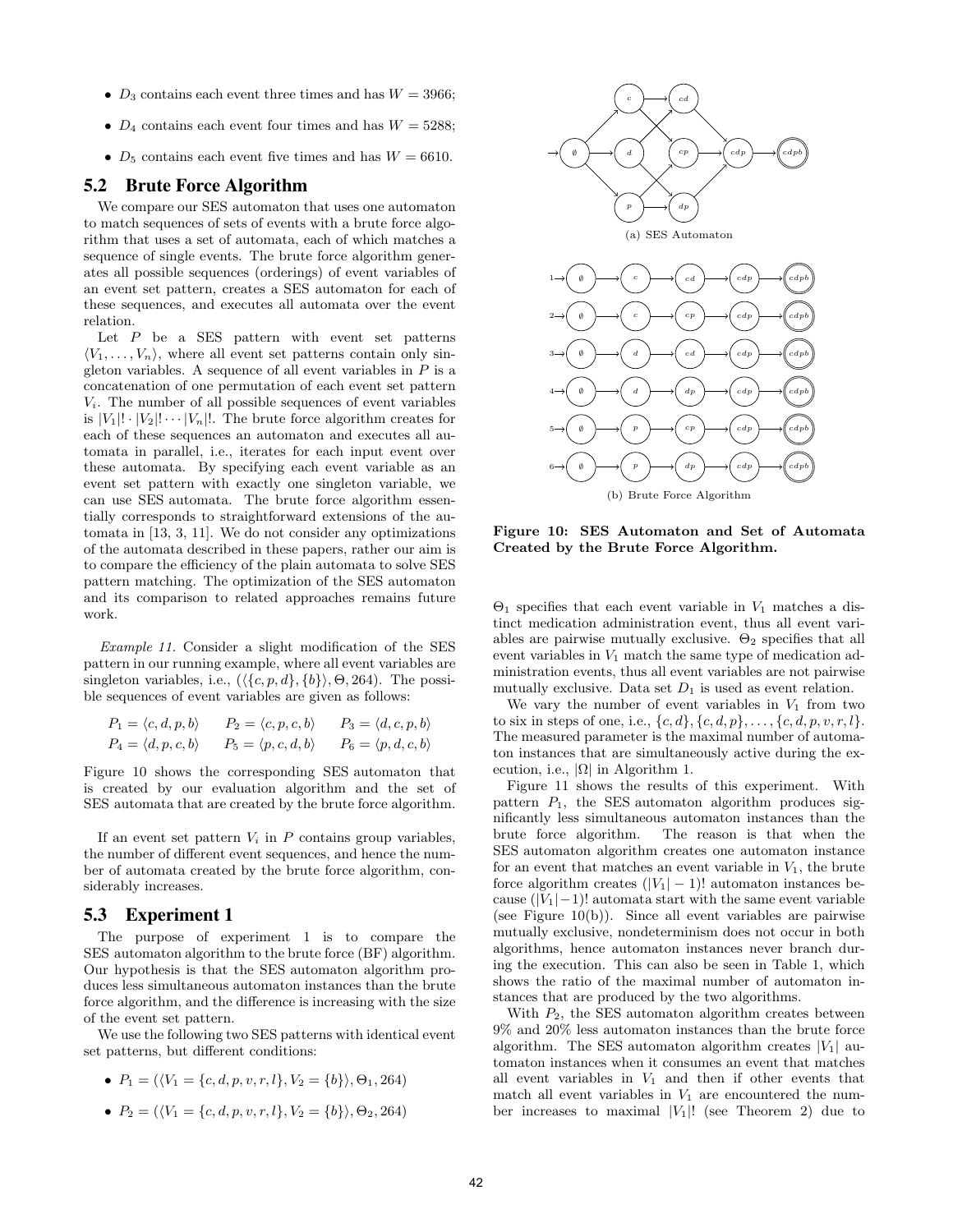- $D_3$  contains each event three times and has  $W = 3966$ ;
- $D_4$  contains each event four times and has  $W = 5288$ ;
- $D_5$  contains each event five times and has  $W = 6610$ .

# 5.2 Brute Force Algorithm

We compare our SES automaton that uses one automaton to match sequences of sets of events with a brute force algorithm that uses a set of automata, each of which matches a sequence of single events. The brute force algorithm generates all possible sequences (orderings) of event variables of an event set pattern, creates a SES automaton for each of these sequences, and executes all automata over the event relation.

Let  $P$  be a SES pattern with event set patterns  $\langle V_1, \ldots, V_n \rangle$ , where all event set patterns contain only singleton variables. A sequence of all event variables in  $P$  is a concatenation of one permutation of each event set pattern  $V_i$ . The number of all possible sequences of event variables is  $|V_1|! \cdot |V_2|! \cdots |V_n|!$ . The brute force algorithm creates for each of these sequences an automaton and executes all automata in parallel, i.e., iterates for each input event over these automata. By specifying each event variable as an event set pattern with exactly one singleton variable, we can use SES automata. The brute force algorithm essentially corresponds to straightforward extensions of the automata in [13, 3, 11]. We do not consider any optimizations of the automata described in these papers, rather our aim is to compare the efficiency of the plain automata to solve SES pattern matching. The optimization of the SES automaton and its comparison to related approaches remains future work.

Example 11. Consider a slight modification of the SES pattern in our running example, where all event variables are singleton variables, i.e.,  $(\langle {c, p, d}, {b} \rangle, \Theta, 264)$ . The possible sequences of event variables are given as follows:

| $P_1 = \langle c, d, p, b \rangle$ | $P_2 = \langle c, p, c, b \rangle$ | $P_3 = \langle d, c, p, b \rangle$ |
|------------------------------------|------------------------------------|------------------------------------|
| $P_4 = \langle d, p, c, b \rangle$ | $P_5 = \langle p, c, d, b \rangle$ | $P_6 = \langle p, d, c, b \rangle$ |

Figure 10 shows the corresponding SES automaton that is created by our evaluation algorithm and the set of SES automata that are created by the brute force algorithm.

If an event set pattern  $V_i$  in P contains group variables, the number of different event sequences, and hence the number of automata created by the brute force algorithm, considerably increases.

## 5.3 Experiment 1

The purpose of experiment 1 is to compare the SES automaton algorithm to the brute force (BF) algorithm. Our hypothesis is that the SES automaton algorithm produces less simultaneous automaton instances than the brute force algorithm, and the difference is increasing with the size of the event set pattern.

We use the following two SES patterns with identical event set patterns, but different conditions:

•  $P_1 = (\langle V_1 = \{c, d, p, v, r, l\}, V_2 = \{b\}\rangle, \Theta_1, 264)$ 

• 
$$
P_2 = (\langle V_1 = \{c, d, p, v, r, l\}, V_2 = \{b\}\rangle, \Theta_2, 264)
$$



Figure 10: SES Automaton and Set of Automata Created by the Brute Force Algorithm.

 $\Theta_1$  specifies that each event variable in  $V_1$  matches a distinct medication administration event, thus all event variables are pairwise mutually exclusive.  $\Theta_2$  specifies that all event variables in  $V_1$  match the same type of medication administration events, thus all event variables are not pairwise mutually exclusive. Data set  $D_1$  is used as event relation.

We vary the number of event variables in  $V_1$  from two to six in steps of one, i.e.,  $\{c, d\}, \{c, d, p\}, \ldots, \{c, d, p, v, r, l\}.$ The measured parameter is the maximal number of automaton instances that are simultaneously active during the execution, i.e.,  $|\Omega|$  in Algorithm 1.

Figure 11 shows the results of this experiment. With pattern  $P_1$ , the SES automaton algorithm produces significantly less simultaneous automaton instances than the brute force algorithm. The reason is that when the SES automaton algorithm creates one automaton instance for an event that matches an event variable in  $V_1$ , the brute force algorithm creates  $(|V_1| - 1)!$  automaton instances because  $(|V_1|-1)!$  automata start with the same event variable (see Figure  $10(b)$ ). Since all event variables are pairwise mutually exclusive, nondeterminism does not occur in both algorithms, hence automaton instances never branch during the execution. This can also be seen in Table 1, which shows the ratio of the maximal number of automaton instances that are produced by the two algorithms.

With  $P_2$ , the SES automaton algorithm creates between 9% and 20% less automaton instances than the brute force algorithm. The SES automaton algorithm creates  $|V_1|$  automaton instances when it consumes an event that matches all event variables in  $V_1$  and then if other events that match all event variables in  $V_1$  are encountered the number increases to maximal  $|V_1|$ ! (see Theorem 2) due to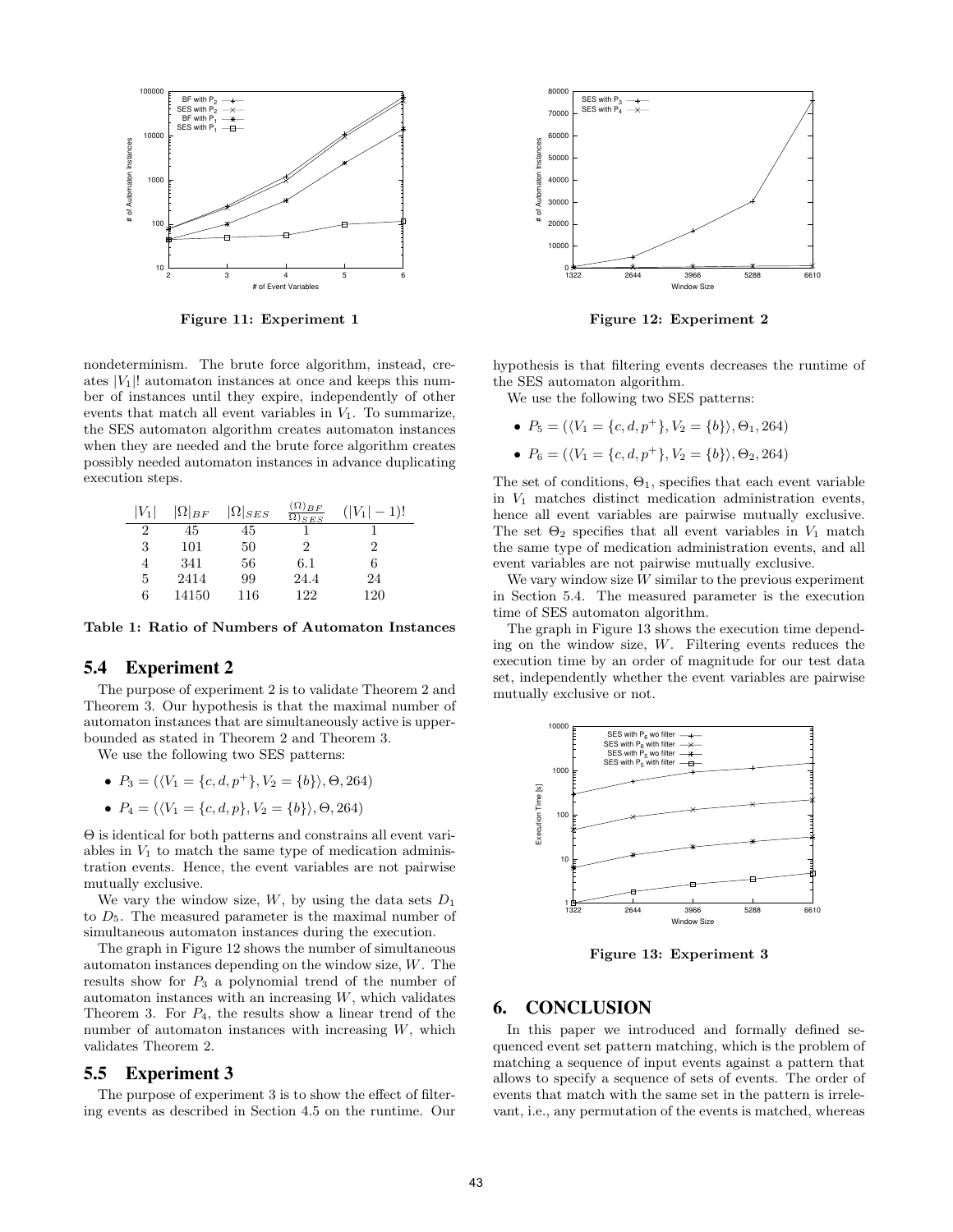

Figure 11: Experiment 1

nondeterminism. The brute force algorithm, instead, creates  $|V_1|$ ! automaton instances at once and keeps this number of instances until they expire, independently of other events that match all event variables in  $V_1$ . To summarize, the SES automaton algorithm creates automaton instances when they are needed and the brute force algorithm creates possibly needed automaton instances in advance duplicating execution steps.

| $ V_1 $ | $ \Omega _{BF}$ | $ \Omega _{SES}$ | $(\Omega)_{BF}$<br>$\Omega)_{SES}$ | $( V_1 -1)!$ |
|---------|-----------------|------------------|------------------------------------|--------------|
| 2       | 45              | 45               |                                    |              |
| 3       | 101             | 50               | 2                                  | 2            |
| 4       | 341             | 56               | 6.1                                | 6            |
| 5       | 2414            | 99               | 24.4                               | 24           |
| 6       | 14150           | 116              | 122                                | 120          |

Table 1: Ratio of Numbers of Automaton Instances

### 5.4 Experiment 2

The purpose of experiment 2 is to validate Theorem 2 and Theorem 3. Our hypothesis is that the maximal number of automaton instances that are simultaneously active is upperbounded as stated in Theorem 2 and Theorem 3.

We use the following two SES patterns:

- $P_3 = (\langle V_1 = \{c, d, p^+\}, V_2 = \{b\}\rangle, \Theta, 264)$
- $P_4 = (\langle V_1 = \{c, d, p\}, V_2 = \{b\}\rangle, \Theta, 264)$

Θ is identical for both patterns and constrains all event variables in  $V_1$  to match the same type of medication administration events. Hence, the event variables are not pairwise mutually exclusive.

We vary the window size,  $W$ , by using the data sets  $D_1$ to  $D_5$ . The measured parameter is the maximal number of simultaneous automaton instances during the execution.

The graph in Figure 12 shows the number of simultaneous automaton instances depending on the window size,  $W$ . The results show for  $P_3$  a polynomial trend of the number of automaton instances with an increasing  $W$ , which validates Theorem 3. For  $P_4$ , the results show a linear trend of the number of automaton instances with increasing  $W$ , which validates Theorem 2.

# 5.5 Experiment 3

The purpose of experiment 3 is to show the effect of filtering events as described in Section 4.5 on the runtime. Our



Figure 12: Experiment 2

hypothesis is that filtering events decreases the runtime of the SES automaton algorithm.

We use the following two SES patterns:

- $P_5 = (\langle V_1 = \{c, d, p^+\}, V_2 = \{b\}\rangle, \Theta_1, 264)$
- $P_6 = (\langle V_1 = \{c, d, p^+\}, V_2 = \{b\}\rangle, \Theta_2, 264)$

The set of conditions,  $\Theta_1$ , specifies that each event variable in  $V_1$  matches distinct medication administration events, hence all event variables are pairwise mutually exclusive. The set  $\Theta_2$  specifies that all event variables in  $V_1$  match the same type of medication administration events, and all event variables are not pairwise mutually exclusive.

We vary window size  $W$  similar to the previous experiment in Section 5.4. The measured parameter is the execution time of SES automaton algorithm.

The graph in Figure 13 shows the execution time depending on the window size, W. Filtering events reduces the execution time by an order of magnitude for our test data set, independently whether the event variables are pairwise mutually exclusive or not.



Figure 13: Experiment 3

### 6. CONCLUSION

In this paper we introduced and formally defined sequenced event set pattern matching, which is the problem of matching a sequence of input events against a pattern that allows to specify a sequence of sets of events. The order of events that match with the same set in the pattern is irrelevant, i.e., any permutation of the events is matched, whereas